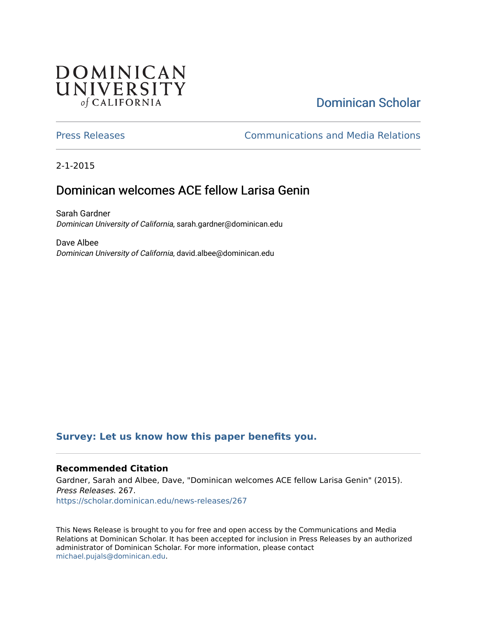## **DOMINICAN** UNIVERSITY of CALIFORNIA

# [Dominican Scholar](https://scholar.dominican.edu/)

[Press Releases](https://scholar.dominican.edu/news-releases) [Communications and Media Relations](https://scholar.dominican.edu/communications-media) 

2-1-2015

## Dominican welcomes ACE fellow Larisa Genin

Sarah Gardner Dominican University of California, sarah.gardner@dominican.edu

Dave Albee Dominican University of California, david.albee@dominican.edu

#### **[Survey: Let us know how this paper benefits you.](https://dominican.libwizard.com/dominican-scholar-feedback)**

#### **Recommended Citation**

Gardner, Sarah and Albee, Dave, "Dominican welcomes ACE fellow Larisa Genin" (2015). Press Releases. 267. [https://scholar.dominican.edu/news-releases/267](https://scholar.dominican.edu/news-releases/267?utm_source=scholar.dominican.edu%2Fnews-releases%2F267&utm_medium=PDF&utm_campaign=PDFCoverPages)

This News Release is brought to you for free and open access by the Communications and Media Relations at Dominican Scholar. It has been accepted for inclusion in Press Releases by an authorized administrator of Dominican Scholar. For more information, please contact [michael.pujals@dominican.edu.](mailto:michael.pujals@dominican.edu)